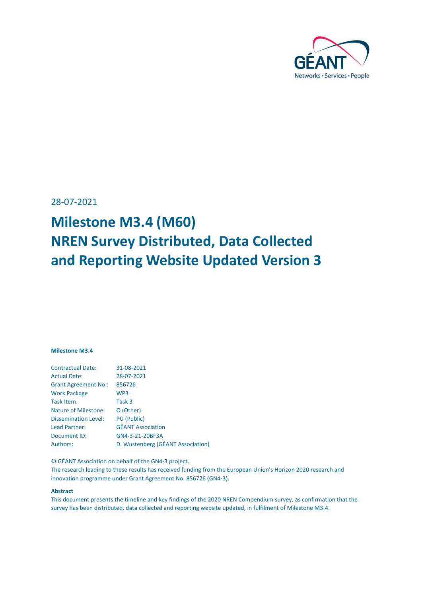

<span id="page-0-0"></span>28-07-2021

# **Milestone M3.4 (M60) NREN Survey Distributed, Data Collected and Reporting Website Updated Version 3**

#### **Milestone M3.4**

| <b>Contractual Date:</b>    | 31-08-2021                        |
|-----------------------------|-----------------------------------|
| <b>Actual Date:</b>         | 28-07-2021                        |
| <b>Grant Agreement No.:</b> | 856726                            |
| <b>Work Package</b>         | WP <sub>3</sub>                   |
| Task Item:                  | Task 3                            |
| <b>Nature of Milestone:</b> | O (Other)                         |
| <b>Dissemination Level:</b> | <b>PU</b> (Public)                |
| Lead Partner:               | <b>GÉANT Association</b>          |
| Document ID:                | GN4-3-21-20BF3A                   |
| Authors:                    | D. Wustenberg (GÉANT Association) |
|                             |                                   |

© GÉANT Association on behalf of the GN4-3 project.

The research leading to these results has received funding from the European Union's Horizon 2020 research and innovation programme under Grant Agreement No. 856726 (GN4-3).

#### **Abstract**

This document presents the timeline and key findings of the 2020 NREN Compendium survey, as confirmation that the survey has been distributed, data collected and reporting website updated, in fulfilment of Milestone M3.4.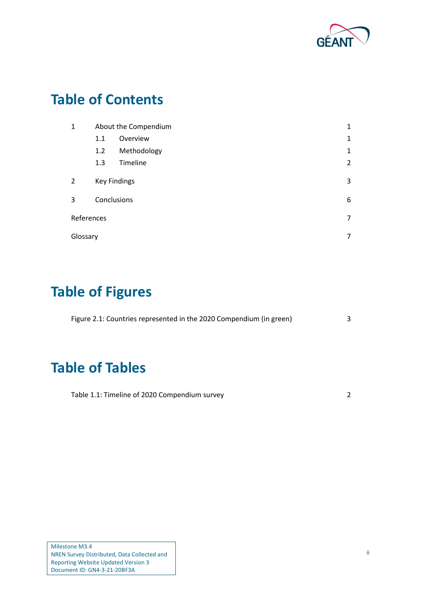

## **Table of Contents**

| 1          |             | About the Compendium | 1              |
|------------|-------------|----------------------|----------------|
|            | 1.1         | Overview             | $\mathbf{1}$   |
|            | 1.2         | Methodology          | $\mathbf{1}$   |
|            | 1.3         | Timeline             | $\overline{2}$ |
| 2          |             | <b>Key Findings</b>  | 3              |
| 3          | Conclusions |                      | 6              |
| References |             |                      | 7              |
| Glossary   |             |                      | 7              |

# **Table of Figures**

| Figure 2.1: Countries represented in the 2020 Compendium (in green) |  |
|---------------------------------------------------------------------|--|
|                                                                     |  |
|                                                                     |  |

## **Table of Tables**

| Table 1.1: Timeline of 2020 Compendium survey |  |
|-----------------------------------------------|--|
|-----------------------------------------------|--|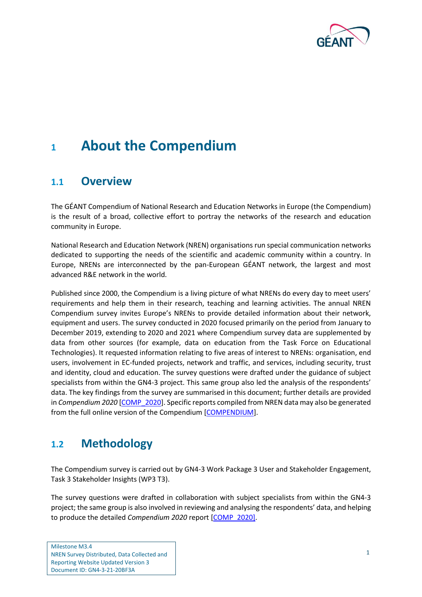

### <span id="page-2-0"></span>**<sup>1</sup> About the Compendium**

### <span id="page-2-1"></span>**1.1 Overview**

The GÉANT Compendium of National Research and Education Networks in Europe (the Compendium) is the result of a broad, collective effort to portray the networks of the research and education community in Europe.

National Research and Education Network (NREN) organisations run special communication networks dedicated to supporting the needs of the scientific and academic community within a country. In Europe, NRENs are interconnected by the pan-European GÉANT network, the largest and most advanced R&E network in the world.

Published since 2000, the Compendium is a living picture of what NRENs do every day to meet users' requirements and help them in their research, teaching and learning activities. The annual NREN Compendium survey invites Europe's NRENs to provide detailed information about their network, equipment and users. The survey conducted in 2020 focused primarily on the period from January to December 2019, extending to 2020 and 2021 where Compendium survey data are supplemented by data from other sources (for example, data on education from the Task Force on Educational Technologies). It requested information relating to five areas of interest to NRENs: organisation, end users, involvement in EC-funded projects, network and traffic, and services, including security, trust and identity, cloud and education. The survey questions were drafted under the guidance of subject specialists from within the GN4-3 project. This same group also led the analysis of the respondents' data. The key findings from the survey are summarised in this document; further details are provided in *Compendium 2020* [\[COMP\\_2020\]](#page-8-2). Specific reports compiled from NREN data may also be generated from the full online version of the Compendium [\[COMPENDIUM\]](#page-8-3).

### <span id="page-2-2"></span>**1.2 Methodology**

The Compendium survey is carried out by GN4-3 Work Package 3 User and Stakeholder Engagement, Task 3 Stakeholder Insights (WP3 T3).

The survey questions were drafted in collaboration with subject specialists from within the GN4-3 project; the same group is also involved in reviewing and analysing the respondents' data, and helping to produce the detailed *Compendium 2020* report [\[COMP\\_2020\]](#page-8-2).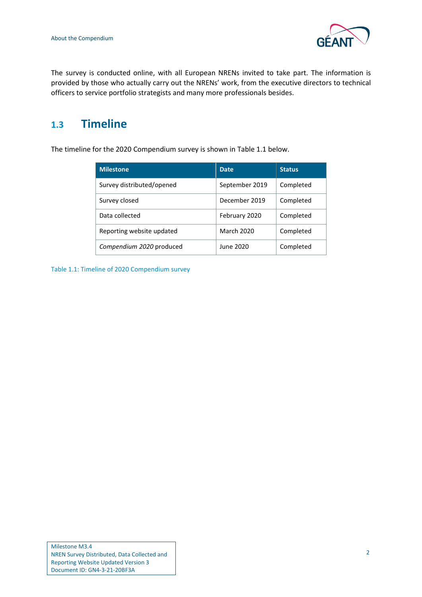

The survey is conducted online, with all European NRENs invited to take part. The information is provided by those who actually carry out the NRENs' work, from the executive directors to technical officers to service portfolio strategists and many more professionals besides.

### <span id="page-3-0"></span>**1.3 Timeline**

The timeline for the 2020 Compendium survey is shown in [Table 1.1](#page-3-1) below.

| <b>Milestone</b>          | <b>Date</b>       | <b>Status</b> |
|---------------------------|-------------------|---------------|
| Survey distributed/opened | September 2019    | Completed     |
| Survey closed             | December 2019     | Completed     |
| Data collected            | February 2020     | Completed     |
| Reporting website updated | <b>March 2020</b> | Completed     |
| Compendium 2020 produced  | June 2020         | Completed     |

<span id="page-3-1"></span>Table 1.1: Timeline of 2020 Compendium survey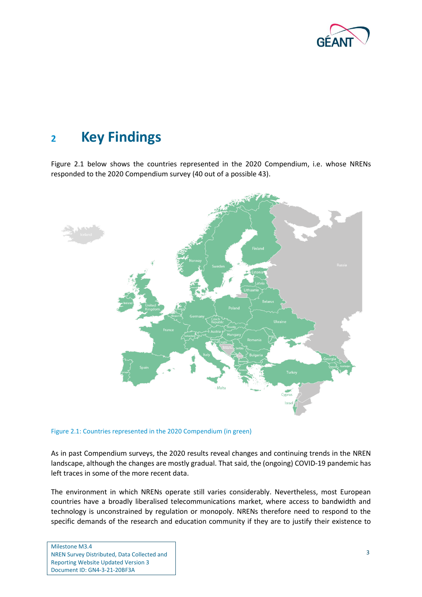

### <span id="page-4-0"></span>**<sup>2</sup> Key Findings**

[Figure 2.1](#page-4-1) below shows the countries represented in the 2020 Compendium, i.e. whose NRENs responded to the 2020 Compendium survey (40 out of a possible 43).



<span id="page-4-1"></span>Figure 2.1: Countries represented in the 2020 Compendium (in green)

As in past Compendium surveys, the 2020 results reveal changes and continuing trends in the NREN landscape, although the changes are mostly gradual. That said, the (ongoing) COVID-19 pandemic has left traces in some of the more recent data.

The environment in which NRENs operate still varies considerably. Nevertheless, most European countries have a broadly liberalised telecommunications market, where access to bandwidth and technology is unconstrained by regulation or monopoly. NRENs therefore need to respond to the specific demands of the research and education community if they are to justify their existence to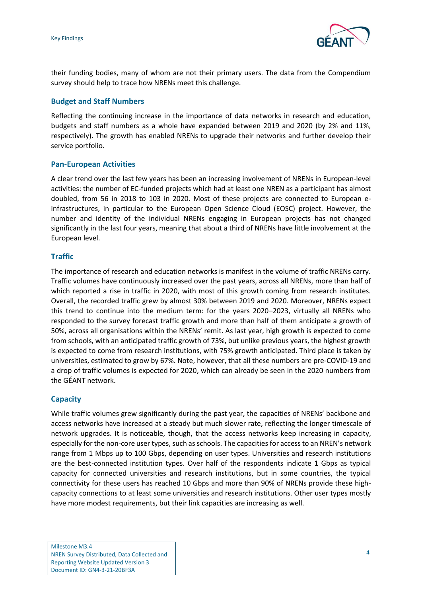

their funding bodies, many of whom are not their primary users. The data from the Compendium survey should help to trace how NRENs meet this challenge.

#### **Budget and Staff Numbers**

Reflecting the continuing increase in the importance of data networks in research and education, budgets and staff numbers as a whole have expanded between 2019 and 2020 (by 2% and 11%, respectively). The growth has enabled NRENs to upgrade their networks and further develop their service portfolio.

#### **Pan-European Activities**

A clear trend over the last few years has been an increasing involvement of NRENs in European-level activities: the number of EC-funded projects which had at least one NREN as a participant has almost doubled, from 56 in 2018 to 103 in 2020. Most of these projects are connected to European einfrastructures, in particular to the European Open Science Cloud (EOSC) project. However, the number and identity of the individual NRENs engaging in European projects has not changed significantly in the last four years, meaning that about a third of NRENs have little involvement at the European level.

#### **Traffic**

The importance of research and education networks is manifest in the volume of traffic NRENs carry. Traffic volumes have continuously increased over the past years, across all NRENs, more than half of which reported a rise in traffic in 2020, with most of this growth coming from research institutes. Overall, the recorded traffic grew by almost 30% between 2019 and 2020. Moreover, NRENs expect this trend to continue into the medium term: for the years 2020–2023, virtually all NRENs who responded to the survey forecast traffic growth and more than half of them anticipate a growth of 50%, across all organisations within the NRENs' remit. As last year, high growth is expected to come from schools, with an anticipated traffic growth of 73%, but unlike previous years, the highest growth is expected to come from research institutions, with 75% growth anticipated. Third place is taken by universities, estimated to grow by 67%. Note, however, that all these numbers are pre-COVID-19 and a drop of traffic volumes is expected for 2020, which can already be seen in the 2020 numbers from the GÉANT network.

### **Capacity**

While traffic volumes grew significantly during the past year, the capacities of NRENs' backbone and access networks have increased at a steady but much slower rate, reflecting the longer timescale of network upgrades. It is noticeable, though, that the access networks keep increasing in capacity, especially for the non-core user types, such asschools. The capacities for access to an NREN's network range from 1 Mbps up to 100 Gbps, depending on user types. Universities and research institutions are the best-connected institution types. Over half of the respondents indicate 1 Gbps as typical capacity for connected universities and research institutions, but in some countries, the typical connectivity for these users has reached 10 Gbps and more than 90% of NRENs provide these highcapacity connections to at least some universities and research institutions. Other user types mostly have more modest requirements, but their link capacities are increasing as well.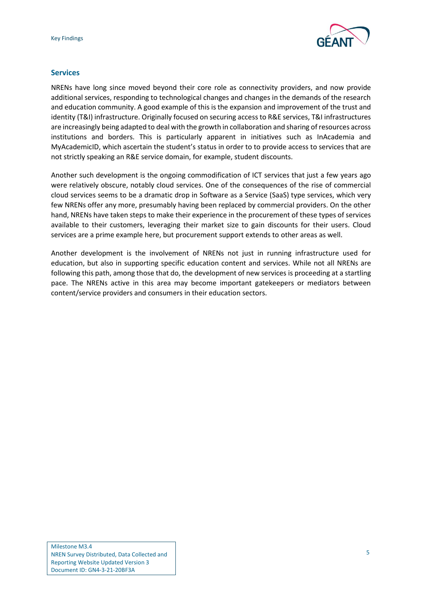

#### **Services**

NRENs have long since moved beyond their core role as connectivity providers, and now provide additional services, responding to technological changes and changes in the demands of the research and education community. A good example of this is the expansion and improvement of the trust and identity (T&I) infrastructure. Originally focused on securing access to R&E services, T&I infrastructures are increasingly being adapted to deal with the growth in collaboration and sharing of resources across institutions and borders. This is particularly apparent in initiatives such as InAcademia and MyAcademicID, which ascertain the student's status in order to to provide access to services that are not strictly speaking an R&E service domain, for example, student discounts.

Another such development is the ongoing commodification of ICT services that just a few years ago were relatively obscure, notably cloud services. One of the consequences of the rise of commercial cloud services seems to be a dramatic drop in Software as a Service (SaaS) type services, which very few NRENs offer any more, presumably having been replaced by commercial providers. On the other hand, NRENs have taken steps to make their experience in the procurement of these types of services available to their customers, leveraging their market size to gain discounts for their users. Cloud services are a prime example here, but procurement support extends to other areas as well.

Another development is the involvement of NRENs not just in running infrastructure used for education, but also in supporting specific education content and services. While not all NRENs are following this path, among those that do, the development of new services is proceeding at a startling pace. The NRENs active in this area may become important gatekeepers or mediators between content/service providers and consumers in their education sectors.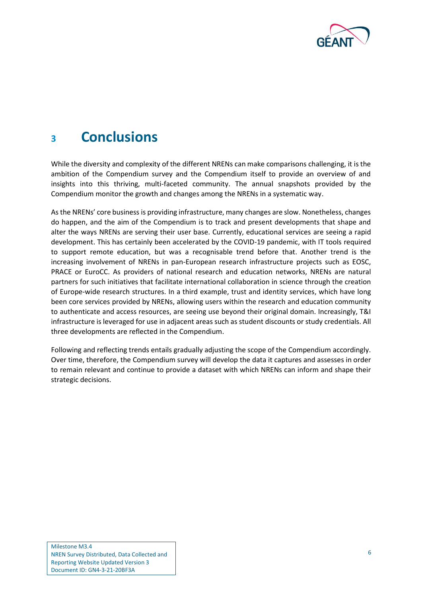

## <span id="page-7-0"></span>**<sup>3</sup> Conclusions**

While the diversity and complexity of the different NRENs can make comparisons challenging, it is the ambition of the Compendium survey and the Compendium itself to provide an overview of and insights into this thriving, multi-faceted community. The annual snapshots provided by the Compendium monitor the growth and changes among the NRENs in a systematic way.

As the NRENs' core business is providing infrastructure, many changes are slow. Nonetheless, changes do happen, and the aim of the Compendium is to track and present developments that shape and alter the ways NRENs are serving their user base. Currently, educational services are seeing a rapid development. This has certainly been accelerated by the COVID-19 pandemic, with IT tools required to support remote education, but was a recognisable trend before that. Another trend is the increasing involvement of NRENs in pan-European research infrastructure projects such as EOSC, PRACE or EuroCC. As providers of national research and education networks, NRENs are natural partners for such initiatives that facilitate international collaboration in science through the creation of Europe-wide research structures. In a third example, trust and identity services, which have long been core services provided by NRENs, allowing users within the research and education community to authenticate and access resources, are seeing use beyond their original domain. Increasingly, T&I infrastructure is leveraged for use in adjacent areas such as student discounts or study credentials. All three developments are reflected in the Compendium.

Following and reflecting trends entails gradually adjusting the scope of the Compendium accordingly. Over time, therefore, the Compendium survey will develop the data it captures and assesses in order to remain relevant and continue to provide a dataset with which NRENs can inform and shape their strategic decisions.

Milestone M3.4 NREN Survey Distributed, Data Collected and Reporting Website Updated Version 3 Document ID: GN4-3-21-20BF3A